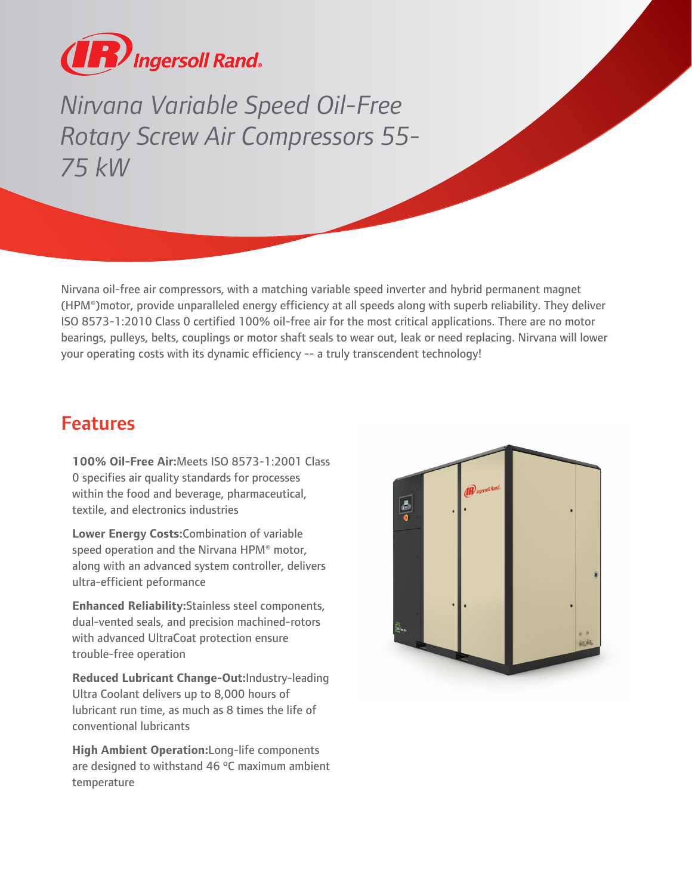

Nirvanna Variable Speed Oil-Free<br>
Rotary Screw Air Compressors 55<br>
75 kW<br>
Winana oil-free air compressors, with a matching variable speed inver<br>
1(HPM\*)motor, provide unparalleled energy efficiency at all speeds als<br>
1(HPM *Rotary Screw Air Compressors 55- 75 kW*

Nirvana oil-free air compressors, with a matching variable speed inverter and hybrid permanent magnet (HPM®)motor, provide unparalleled energy efficiency at all speeds along with superb reliability. They deliver ISO 8573-1:2010 Class 0 certified 100% oil-free air for the most critical applications. There are no motor bearings, pulleys, belts, couplings or motor shaft seals to wear out, leak or need replacing. Nirvana will lower your operating costs with its dynamic efficiency -- a truly transcendent technology!

## Features

**100% Oil-Free Air:**Meets ISO 8573-1:2001 Class 0 specifies air quality standards for processes within the food and beverage, pharmaceutical, textile, and electronics industries

**Lower Energy Costs:**Combination of variable speed operation and the Nirvana HPM® motor, along with an advanced system controller, delivers ultra-efficient peformance

**Enhanced Reliability:**Stainless steel components, dual-vented seals, and precision machined-rotors with advanced UltraCoat protection ensure trouble-free operation

**Reduced Lubricant Change-Out:**Industry-leading Ultra Coolant delivers up to 8,000 hours of lubricant run time, as much as 8 times the life of conventional lubricants

**High Ambient Operation:**Long-life components are designed to withstand 46 ºC maximum ambient